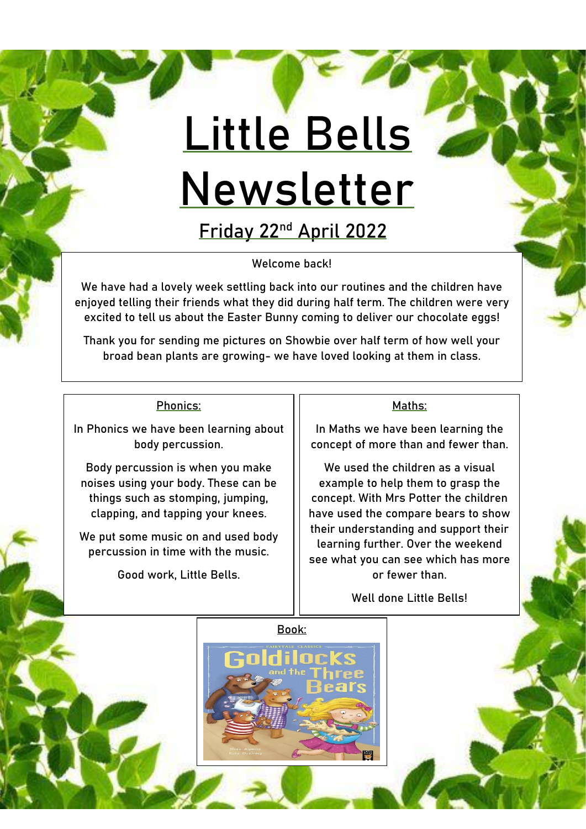# **Little Bells Newsletter**

**Friday 22nd April 2022**

Welcome back!

We have had a lovely week settling back into our routines and the children have enjoyed telling their friends what they did during half term. The children were very excited to tell us about the Easter Bunny coming to deliver our chocolate eggs!

Thank you for sending me pictures on Showbie over half term of how well your broad bean plants are growing- we have loved looking at them in class.

#### Phonics:

In Phonics we have been learning about body percussion.

Body percussion is when you make noises using your body. These can be things such as stomping, jumping, clapping, and tapping your knees.

We put some music on and used body percussion in time with the music.

Good work, Little Bells.

#### Maths:

In Maths we have been learning the concept of more than and fewer than.

We used the children as a visual example to help them to grasp the concept. With Mrs Potter the children have used the compare bears to show their understanding and support their learning further. Over the weekend see what you can see which has more or fewer than.

Well done Little Bells!